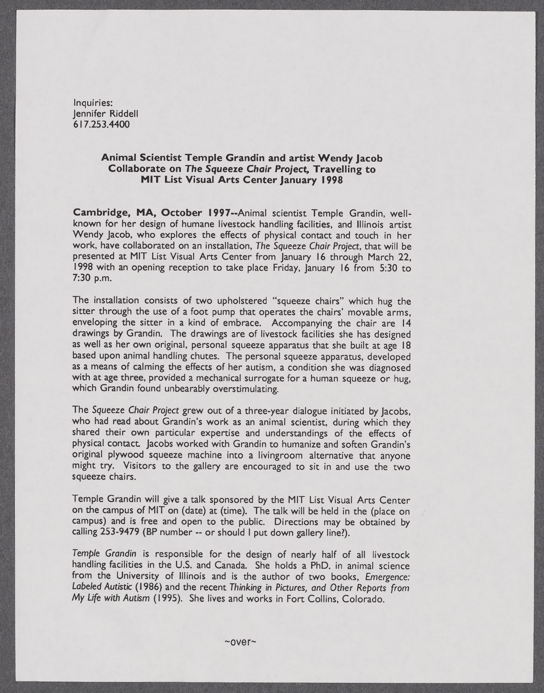Inquiries: Jennifer Riddell [617.253.4400](tel:6172534400)

## **Animal Scientist Temple Grandin and artist Wendy Jacob Collaborate on The Squeeze Chair Project, Travelling to MIT List Visual Arts Center January 1998**

**Cambridge, MA, October I 997--Animal** scientist Temple Grandin, wellknown for her design of humane livestock handling facilities, and Illinois artist Wendy Jacob, who explores the effects of physical contact and touch in her work, have collaborated on an installation, The Squeeze Chair Project, that will be presented at MIT List Visual Arts Center from January **16** through March 22, **<sup>1998</sup>**with an opening reception to take place Friday, January **16** from **5:30** to **7:30 p.m.**

The installation consists of two upholstered "squeeze chairs" which hug the sitter through the use of a foot pump that operates the chairs' movable arms, enveloping the sitter in a kind of embrace. Accompanying the chair are 14 drawings **by** Grandin. The drawings are of livestock facilities she has designed as well as her own original, personal squeeze apparatus that she built at age **<sup>18</sup>** based upon animal handling chutes. The personal squeeze apparatus, developed as a means of calming the effects of her autism, a condition she was diagnosed with at age three, provided a mechanical surrogate for a human squeeze or hug, which Grandin found unbearably overstimulating.

The Squeeze Chair Project grew out of a three-year dialogue initiated **by** Jacobs, shared their own particular expertise and understandings of the effects of physical contact. Jacobs worked with Grandin to humanize and soften Grandin's original plywood squeeze machine into a livingroom alternative that anyone might try. Visitors to the gallery are encouraged to sit in and use the two squeeze chairs.

Temple Grandin will give a talk sponsored **by** the MIT List Visual Arts Center on the campus of MIT on (date) at (time). The talk will be held in the (place on campus) and is free and open to the public. Directions may be obtained **by** calling **253-9479** (BP number **--** or should **I** put down gallery line?).

Temple Grandin is responsible for the design of nearly half of all livestock handling facilities in the **U.S.** and Canada. She holds a PhD. in animal science from the University of Illinois and is the author of two books, Emergence: Labeled Autistic **(1 986)** and the recent Thinking in Pictures, and Other Reports from **My** Life with Autism **(1995).** She lives and works in Fort Collins, Colorado.